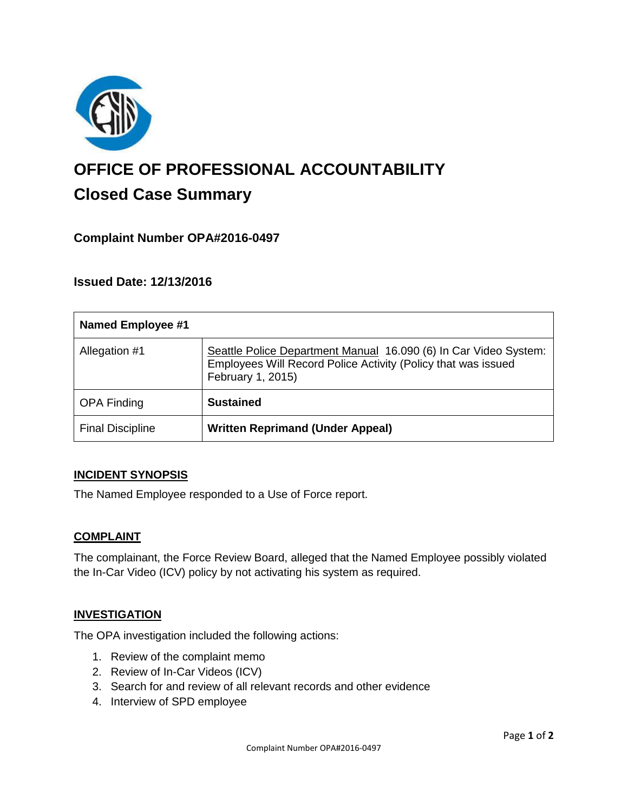

# **OFFICE OF PROFESSIONAL ACCOUNTABILITY Closed Case Summary**

# **Complaint Number OPA#2016-0497**

# **Issued Date: 12/13/2016**

| <b>Named Employee #1</b> |                                                                                                                                                        |
|--------------------------|--------------------------------------------------------------------------------------------------------------------------------------------------------|
| Allegation #1            | Seattle Police Department Manual 16.090 (6) In Car Video System:<br>Employees Will Record Police Activity (Policy that was issued<br>February 1, 2015) |
| <b>OPA Finding</b>       | <b>Sustained</b>                                                                                                                                       |
| <b>Final Discipline</b>  | <b>Written Reprimand (Under Appeal)</b>                                                                                                                |

#### **INCIDENT SYNOPSIS**

The Named Employee responded to a Use of Force report.

#### **COMPLAINT**

The complainant, the Force Review Board, alleged that the Named Employee possibly violated the In-Car Video (ICV) policy by not activating his system as required.

#### **INVESTIGATION**

The OPA investigation included the following actions:

- 1. Review of the complaint memo
- 2. Review of In-Car Videos (ICV)
- 3. Search for and review of all relevant records and other evidence
- 4. Interview of SPD employee